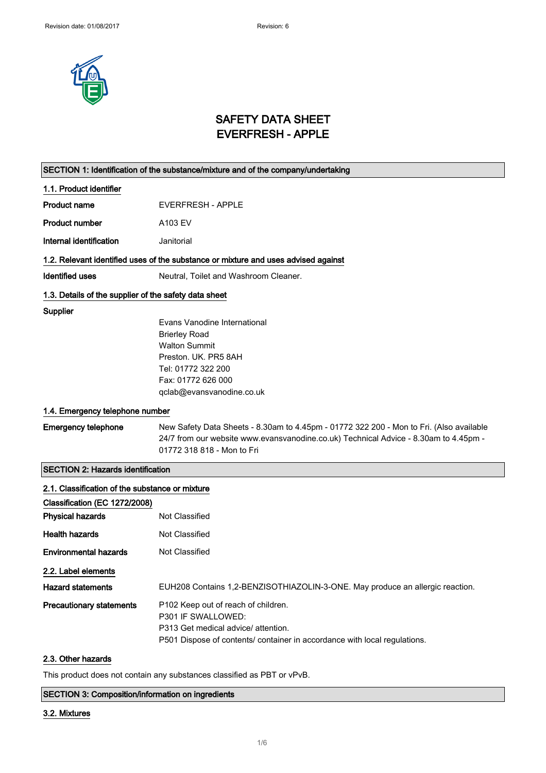

## SAFETY DATA SHEET EVERFRESH - APPLE

## SECTION 1: Identification of the substance/mixture and of the company/undertaking 1.1. Product identifier Product name EVERFRESH - APPLE Product number A103 EV Internal identification **Janitorial** 1.2. Relevant identified uses of the substance or mixture and uses advised against Identified uses Neutral, Toilet and Washroom Cleaner. 1.3. Details of the supplier of the safety data sheet **Supplier** Evans Vanodine International Brierley Road Walton Summit Preston. UK. PR5 8AH Tel: 01772 322 200 Fax: 01772 626 000 qclab@evansvanodine.co.uk 1.4. Emergency telephone number Emergency telephone New Safety Data Sheets - 8.30am to 4.45pm - 01772 322 200 - Mon to Fri. (Also available 24/7 from our website www.evansvanodine.co.uk) Technical Advice - 8.30am to 4.45pm - 01772 318 818 - Mon to Fri

| <b>SECTION 2: Hazards identification</b>        |                                                                               |
|-------------------------------------------------|-------------------------------------------------------------------------------|
| 2.1. Classification of the substance or mixture |                                                                               |
| Classification (EC 1272/2008)                   |                                                                               |
| <b>Physical hazards</b>                         | Not Classified                                                                |
| <b>Health hazards</b>                           | Not Classified                                                                |
| <b>Environmental hazards</b>                    | Not Classified                                                                |
| 2.2. Label elements                             |                                                                               |
| <b>Hazard statements</b>                        | EUH208 Contains 1,2-BENZISOTHIAZOLIN-3-ONE. May produce an allergic reaction. |
| <b>Precautionary statements</b>                 | P <sub>102</sub> Keep out of reach of children.                               |
|                                                 | P301 IF SWALLOWED:                                                            |
|                                                 | P313 Get medical advice/ attention.                                           |
|                                                 | P501 Dispose of contents/ container in accordance with local regulations.     |
| 2.3. Other hazards                              |                                                                               |

#### This product does not contain any substances classified as PBT or vPvB.

#### SECTION 3: Composition/information on ingredients

#### 3.2. Mixtures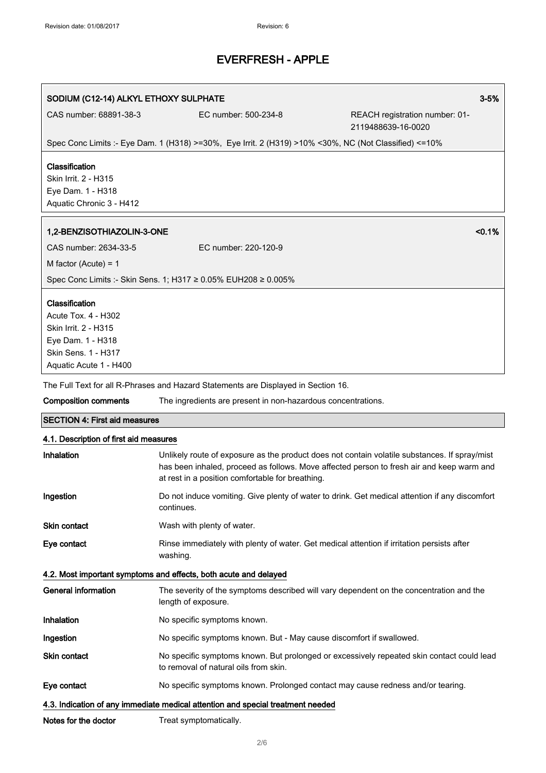### SODIUM (C12-14) ALKYL ETHOXY SULPHATE 3-5%

CAS number: 68891-38-3 EC number: 500-234-8 REACH registration number: 01- 2119488639-16-0020

Spec Conc Limits :- Eye Dam. 1 (H318) >=30%, Eye Irrit. 2 (H319) >10% <30%, NC (Not Classified) <=10%

### Classification

Skin Irrit. 2 - H315 Eye Dam. 1 - H318 Aquatic Chronic 3 - H412

### 1,2-BENZISOTHIAZOLIN-3-ONE <0.1%

| CAS number: 2634-33-5                                          | EC number: 220-120-9 |  |  |
|----------------------------------------------------------------|----------------------|--|--|
| M factor (Acute) = 1                                           |                      |  |  |
| Spec Conc Limits :- Skin Sens. 1; H317 ≥ 0.05% EUH208 ≥ 0.005% |                      |  |  |

#### Classification

Acute Tox. 4 - H302 Skin Irrit. 2 - H315 Eye Dam. 1 - H318 Skin Sens. 1 - H317 Aquatic Acute 1 - H400

The Full Text for all R-Phrases and Hazard Statements are Displayed in Section 16.

Composition comments The ingredients are present in non-hazardous concentrations.

#### SECTION 4: First aid measures

### 4.1. Description of first aid measures

| Inhalation                                                                      | Unlikely route of exposure as the product does not contain volatile substances. If spray/mist<br>has been inhaled, proceed as follows. Move affected person to fresh air and keep warm and<br>at rest in a position comfortable for breathing. |  |
|---------------------------------------------------------------------------------|------------------------------------------------------------------------------------------------------------------------------------------------------------------------------------------------------------------------------------------------|--|
| Ingestion                                                                       | Do not induce vomiting. Give plenty of water to drink. Get medical attention if any discomfort<br>continues.                                                                                                                                   |  |
| Skin contact                                                                    | Wash with plenty of water.                                                                                                                                                                                                                     |  |
| Eye contact                                                                     | Rinse immediately with plenty of water. Get medical attention if irritation persists after<br>washing.                                                                                                                                         |  |
| 4.2. Most important symptoms and effects, both acute and delayed                |                                                                                                                                                                                                                                                |  |
| <b>General information</b>                                                      | The severity of the symptoms described will vary dependent on the concentration and the<br>length of exposure.                                                                                                                                 |  |
| Inhalation                                                                      | No specific symptoms known.                                                                                                                                                                                                                    |  |
| Ingestion                                                                       | No specific symptoms known. But - May cause discomfort if swallowed.                                                                                                                                                                           |  |
| <b>Skin contact</b>                                                             | No specific symptoms known. But prolonged or excessively repeated skin contact could lead<br>to removal of natural oils from skin.                                                                                                             |  |
| Eye contact                                                                     | No specific symptoms known. Prolonged contact may cause redness and/or tearing.                                                                                                                                                                |  |
| 4.3. Indication of any immediate medical attention and special treatment needed |                                                                                                                                                                                                                                                |  |

Notes for the doctor Treat symptomatically.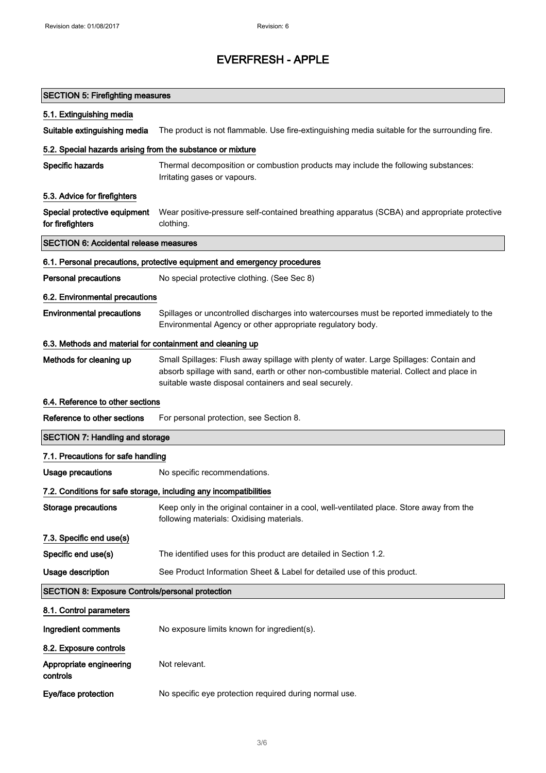| <b>SECTION 5: Firefighting measures</b>                    |                                                                                                                                                                                                                                              |
|------------------------------------------------------------|----------------------------------------------------------------------------------------------------------------------------------------------------------------------------------------------------------------------------------------------|
| 5.1. Extinguishing media                                   |                                                                                                                                                                                                                                              |
| Suitable extinguishing media                               | The product is not flammable. Use fire-extinguishing media suitable for the surrounding fire.                                                                                                                                                |
| 5.2. Special hazards arising from the substance or mixture |                                                                                                                                                                                                                                              |
| Specific hazards                                           | Thermal decomposition or combustion products may include the following substances:<br>Irritating gases or vapours.                                                                                                                           |
| 5.3. Advice for firefighters                               |                                                                                                                                                                                                                                              |
| Special protective equipment<br>for firefighters           | Wear positive-pressure self-contained breathing apparatus (SCBA) and appropriate protective<br>clothing.                                                                                                                                     |
| <b>SECTION 6: Accidental release measures</b>              |                                                                                                                                                                                                                                              |
|                                                            | 6.1. Personal precautions, protective equipment and emergency procedures                                                                                                                                                                     |
| <b>Personal precautions</b>                                | No special protective clothing. (See Sec 8)                                                                                                                                                                                                  |
| 6.2. Environmental precautions                             |                                                                                                                                                                                                                                              |
| <b>Environmental precautions</b>                           | Spillages or uncontrolled discharges into watercourses must be reported immediately to the<br>Environmental Agency or other appropriate regulatory body.                                                                                     |
| 6.3. Methods and material for containment and cleaning up  |                                                                                                                                                                                                                                              |
| Methods for cleaning up                                    | Small Spillages: Flush away spillage with plenty of water. Large Spillages: Contain and<br>absorb spillage with sand, earth or other non-combustible material. Collect and place in<br>suitable waste disposal containers and seal securely. |
| 6.4. Reference to other sections                           |                                                                                                                                                                                                                                              |
| Reference to other sections                                | For personal protection, see Section 8.                                                                                                                                                                                                      |
| <b>SECTION 7: Handling and storage</b>                     |                                                                                                                                                                                                                                              |
| 7.1. Precautions for safe handling                         |                                                                                                                                                                                                                                              |
| Usage precautions                                          | No specific recommendations.                                                                                                                                                                                                                 |
|                                                            | 7.2. Conditions for safe storage, including any incompatibilities                                                                                                                                                                            |
| <b>Storage precautions</b>                                 | Keep only in the original container in a cool, well-ventilated place. Store away from the<br>following materials: Oxidising materials.                                                                                                       |
| 7.3. Specific end use(s)                                   |                                                                                                                                                                                                                                              |
| Specific end use(s)                                        | The identified uses for this product are detailed in Section 1.2.                                                                                                                                                                            |
| <b>Usage description</b>                                   | See Product Information Sheet & Label for detailed use of this product.                                                                                                                                                                      |
| <b>SECTION 8: Exposure Controls/personal protection</b>    |                                                                                                                                                                                                                                              |
| 8.1. Control parameters                                    |                                                                                                                                                                                                                                              |
| Ingredient comments                                        | No exposure limits known for ingredient(s).                                                                                                                                                                                                  |
| 8.2. Exposure controls                                     |                                                                                                                                                                                                                                              |
| Appropriate engineering<br>controls                        | Not relevant.                                                                                                                                                                                                                                |
| Eye/face protection                                        | No specific eye protection required during normal use.                                                                                                                                                                                       |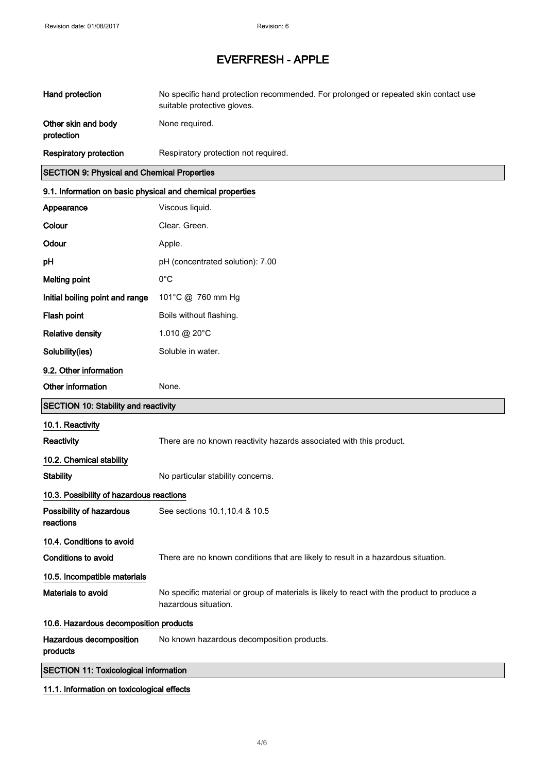| Hand protection                                            | No specific hand protection recommended. For prolonged or repeated skin contact use<br>suitable protective gloves.  |
|------------------------------------------------------------|---------------------------------------------------------------------------------------------------------------------|
| Other skin and body<br>protection                          | None required.                                                                                                      |
| <b>Respiratory protection</b>                              | Respiratory protection not required.                                                                                |
| <b>SECTION 9: Physical and Chemical Properties</b>         |                                                                                                                     |
| 9.1. Information on basic physical and chemical properties |                                                                                                                     |
| Appearance                                                 | Viscous liquid.                                                                                                     |
| Colour                                                     | Clear. Green.                                                                                                       |
| Odour                                                      | Apple.                                                                                                              |
| pH                                                         | pH (concentrated solution): 7.00                                                                                    |
| <b>Melting point</b>                                       | $0^{\circ}$ C                                                                                                       |
| Initial boiling point and range                            | 101°C @ 760 mm Hg                                                                                                   |
| Flash point                                                | Boils without flashing.                                                                                             |
| <b>Relative density</b>                                    | 1.010 @ 20°C                                                                                                        |
| Solubility(ies)                                            | Soluble in water.                                                                                                   |
| 9.2. Other information                                     |                                                                                                                     |
| Other information                                          | None.                                                                                                               |
| <b>SECTION 10: Stability and reactivity</b>                |                                                                                                                     |
| 10.1. Reactivity                                           |                                                                                                                     |
| Reactivity                                                 | There are no known reactivity hazards associated with this product.                                                 |
| 10.2. Chemical stability                                   |                                                                                                                     |
| <b>Stability</b>                                           | No particular stability concerns.                                                                                   |
| 10.3. Possibility of hazardous reactions                   |                                                                                                                     |
| Possibility of hazardous<br>reactions                      | See sections 10.1, 10.4 & 10.5                                                                                      |
| 10.4. Conditions to avoid                                  |                                                                                                                     |
| <b>Conditions to avoid</b>                                 | There are no known conditions that are likely to result in a hazardous situation.                                   |
| 10.5. Incompatible materials                               |                                                                                                                     |
| Materials to avoid                                         | No specific material or group of materials is likely to react with the product to produce a<br>hazardous situation. |
| 10.6. Hazardous decomposition products                     |                                                                                                                     |
| Hazardous decomposition<br>products                        | No known hazardous decomposition products.                                                                          |
| <b>SECTION 11: Toxicological information</b>               |                                                                                                                     |

11.1. Information on toxicological effects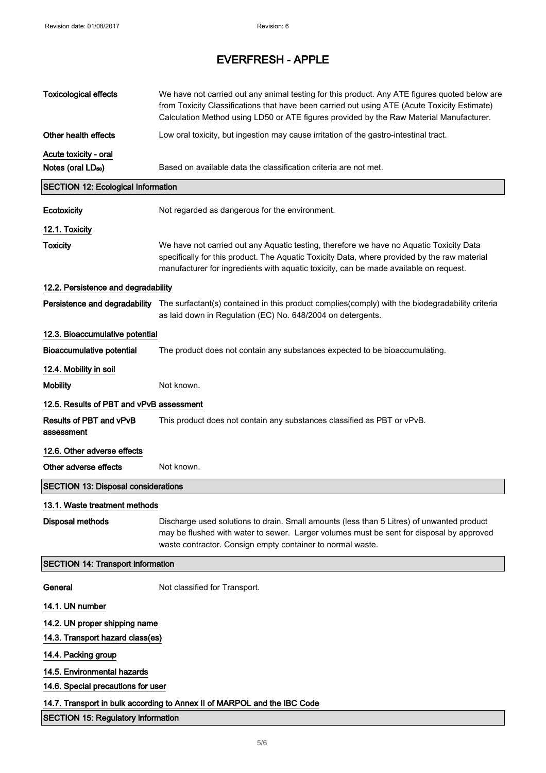| <b>Toxicological effects</b>               | We have not carried out any animal testing for this product. Any ATE figures quoted below are<br>from Toxicity Classifications that have been carried out using ATE (Acute Toxicity Estimate)<br>Calculation Method using LD50 or ATE figures provided by the Raw Material Manufacturer. |  |
|--------------------------------------------|------------------------------------------------------------------------------------------------------------------------------------------------------------------------------------------------------------------------------------------------------------------------------------------|--|
| Other health effects                       | Low oral toxicity, but ingestion may cause irritation of the gastro-intestinal tract.                                                                                                                                                                                                    |  |
| Acute toxicity - oral                      |                                                                                                                                                                                                                                                                                          |  |
| Notes (oral LD <sub>50</sub> )             | Based on available data the classification criteria are not met.                                                                                                                                                                                                                         |  |
| <b>SECTION 12: Ecological Information</b>  |                                                                                                                                                                                                                                                                                          |  |
| Ecotoxicity                                | Not regarded as dangerous for the environment.                                                                                                                                                                                                                                           |  |
| 12.1. Toxicity                             |                                                                                                                                                                                                                                                                                          |  |
| <b>Toxicity</b>                            | We have not carried out any Aquatic testing, therefore we have no Aquatic Toxicity Data<br>specifically for this product. The Aquatic Toxicity Data, where provided by the raw material<br>manufacturer for ingredients with aquatic toxicity, can be made available on request.         |  |
| 12.2. Persistence and degradability        |                                                                                                                                                                                                                                                                                          |  |
| Persistence and degradability              | The surfactant(s) contained in this product complies(comply) with the biodegradability criteria<br>as laid down in Regulation (EC) No. 648/2004 on detergents.                                                                                                                           |  |
| 12.3. Bioaccumulative potential            |                                                                                                                                                                                                                                                                                          |  |
| <b>Bioaccumulative potential</b>           | The product does not contain any substances expected to be bioaccumulating.                                                                                                                                                                                                              |  |
| 12.4. Mobility in soil                     |                                                                                                                                                                                                                                                                                          |  |
| <b>Mobility</b>                            | Not known.                                                                                                                                                                                                                                                                               |  |
| 12.5. Results of PBT and vPvB assessment   |                                                                                                                                                                                                                                                                                          |  |
| Results of PBT and vPvB<br>assessment      | This product does not contain any substances classified as PBT or vPvB.                                                                                                                                                                                                                  |  |
| 12.6. Other adverse effects                |                                                                                                                                                                                                                                                                                          |  |
| Other adverse effects                      | Not known.                                                                                                                                                                                                                                                                               |  |
| <b>SECTION 13: Disposal considerations</b> |                                                                                                                                                                                                                                                                                          |  |
| 13.1. Waste treatment methods              |                                                                                                                                                                                                                                                                                          |  |
| <b>Disposal methods</b>                    | Discharge used solutions to drain. Small amounts (less than 5 Litres) of unwanted product<br>may be flushed with water to sewer. Larger volumes must be sent for disposal by approved<br>waste contractor. Consign empty container to normal waste.                                      |  |
| <b>SECTION 14: Transport information</b>   |                                                                                                                                                                                                                                                                                          |  |
| General                                    | Not classified for Transport.                                                                                                                                                                                                                                                            |  |
| 14.1. UN number                            |                                                                                                                                                                                                                                                                                          |  |
| 14.2. UN proper shipping name              |                                                                                                                                                                                                                                                                                          |  |
| 14.3. Transport hazard class(es)           |                                                                                                                                                                                                                                                                                          |  |
| 14.4. Packing group                        |                                                                                                                                                                                                                                                                                          |  |
| 14.5. Environmental hazards                |                                                                                                                                                                                                                                                                                          |  |
| 14.6. Special precautions for user         |                                                                                                                                                                                                                                                                                          |  |
|                                            | 14.7. Transport in bulk according to Annex II of MARPOL and the IBC Code                                                                                                                                                                                                                 |  |
| <b>SECTION 15: Regulatory information</b>  |                                                                                                                                                                                                                                                                                          |  |